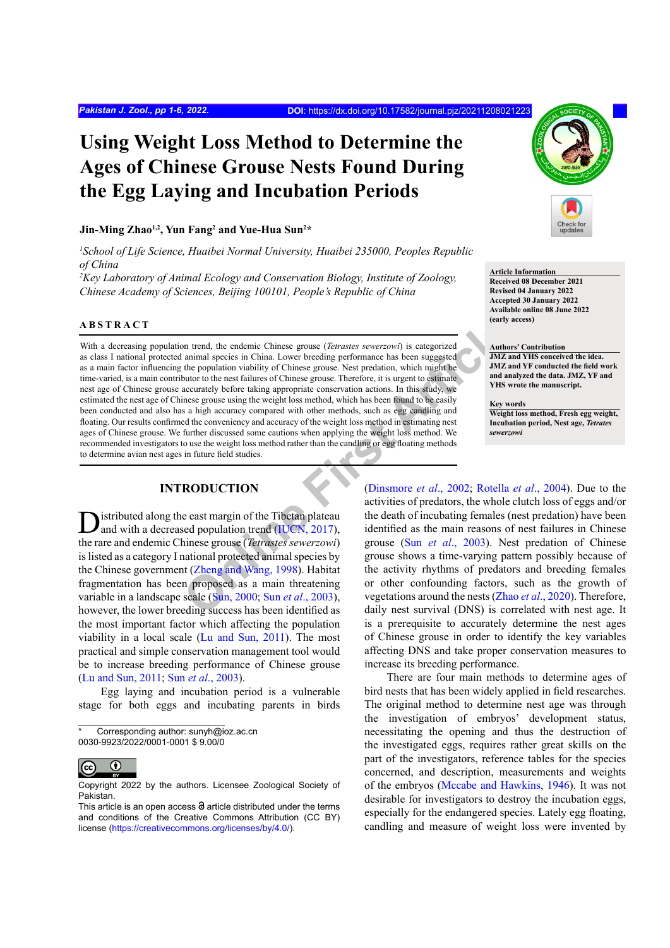# **Using Weight Loss Method to Determine the Ages of Chinese Grouse Nests Found During the Egg Laying and Incubation Periods**

# **Jin-Ming Zhao1,2, Yun Fang2 and Yue-Hua Sun2 \***

*1 School of Life Science, Huaibei Normal University, Huaibei 235000, Peoples Republic of China*

*2 Key Laboratory of Animal Ecology and Conservation Biology, Institute of Zoology, Chinese Academy of Sciences, Beijing 100101, People's Republic of China*

# **ABSTRACT**

on trend, the endemic Chi[ne](#page-5-0)se grouse (*Tetrastes sewersowi*) is categorized<br>
animal species in China. Lower breeding performance has been suggested<br>
the population viability of Chinese grouse. Net forechation, which might With a decreasing population trend, the endemic Chinese grouse (*Tetrastes sewerzowi*) is categorized as class I national protected animal species in China. Lower breeding performance has been suggested as a main factor influencing the population viability of Chinese grouse. Nest predation, which might be time-varied, is a main contributor to the nest failures of Chinese grouse. Therefore, it is urgent to estimate nest age of Chinese grouse accurately before taking appropriate conservation actions. In this study, we estimated the nest age of Chinese grouse using the weight loss method, which has been found to be easily been conducted and also has a high accuracy compared with other methods, such as egg candling and floating. Our results confirmed the conveniency and accuracy of the weight loss method in estimating nest ages of Chinese grouse. We further discussed some cautions when applying the weight loss method. We recommended investigators to use the weight loss method rather than the candling or egg floating methods to determine avian nest ages in future field studies.

# **INTRODUCTION**

**D**istributed along the east margin of the Tibetan plateau and with a decreased population trend (IUCN, 2017), the rare and endemic Chinese grouse (*Tetrastes sewerzowi*) is listed as a category I national protected animal species by the Chinese government (Zheng and Wang, 1998). Habitat fragmentation has been proposed as a main threatening variable in a landscape scale (Sun, 2000; Sun *et al*., 2003), however, the lower breeding success has been identified as the most important factor which affecting the population viability in a local scale [\(Lu and Sun, 2011\)](#page-4-0). The most practical and simple conservation management tool would be to increase breeding performance of Chinese grouse ([Lu and Sun, 2011](#page-4-0); Sun *et al*[., 2003](#page-5-3)).

Egg laying and incubation period is a vulnerable stage for both eggs and incubating parents in birds



#### **Article Information**

**Received 08 December 2021 Revised 04 January 2022 Accepted 30 January 2022 Available online 08 June 2022 (early access)**

#### **Authors' Contribution**

**JMZ and YHS conceived the idea. JMZ and YF conducted the field work and analyzed the data. JMZ, YF and YHS wrote the manuscript.**

**Key words Weight loss method, Fresh egg weight,** 

**Incubation period, Nest age,** *Tetrates sewerzowi*

(Dinsmore *et al*., 2002; Rotella *et al*., 2004). Due to the activities of predators, the whole clutch loss of eggs and/or the death of incubating females (nest predation) have been identified as the main reasons of nest failures in Chinese grouse (Sun *et al*., 2003). Nest predation of Chinese grouse shows a time-varying pattern possibly because of the activity rhythms of predators and breeding females or other confounding factors, such as the growth of vegetations around the nests (Zhao *et al*[., 2020\)](#page-5-1). Therefore, daily nest survival (DNS) is correlated with nest age. It is a prerequisite to accurately determine the nest ages of Chinese grouse in order to identify the key variables affecting DNS and take proper conservation measures to increase its breeding performance.

There are four main methods to determine ages of bird nests that has been widely applied in field researches. The original method to determine nest age was through the investigation of embryos' development status, necessitating the opening and thus the destruction of the investigated eggs, requires rather great skills on the part of the investigators, reference tables for the species concerned, and description, measurements and weights of the embryos [\(Mccabe and Hawkins, 1946](#page-5-5)). It was not desirable for investigators to destroy the incubation eggs, especially for the endangered species. Lately egg floating, candling and measure of weight loss were invented by

Corresponding author: sunyh@ioz.ac.cn 0030-9923/2022/0001-0001 \$ 9.00/0

 $\bf \odot$  $|$  (cc

Copyright 2022 by the authors. Licensee Zoological Society of Pakistan.

This article is an open access  $\Theta$  article distributed under the terms and conditions of the Creative Commons Attribution (CC BY) license (https://creativecommons.org/licenses/by/4.0/).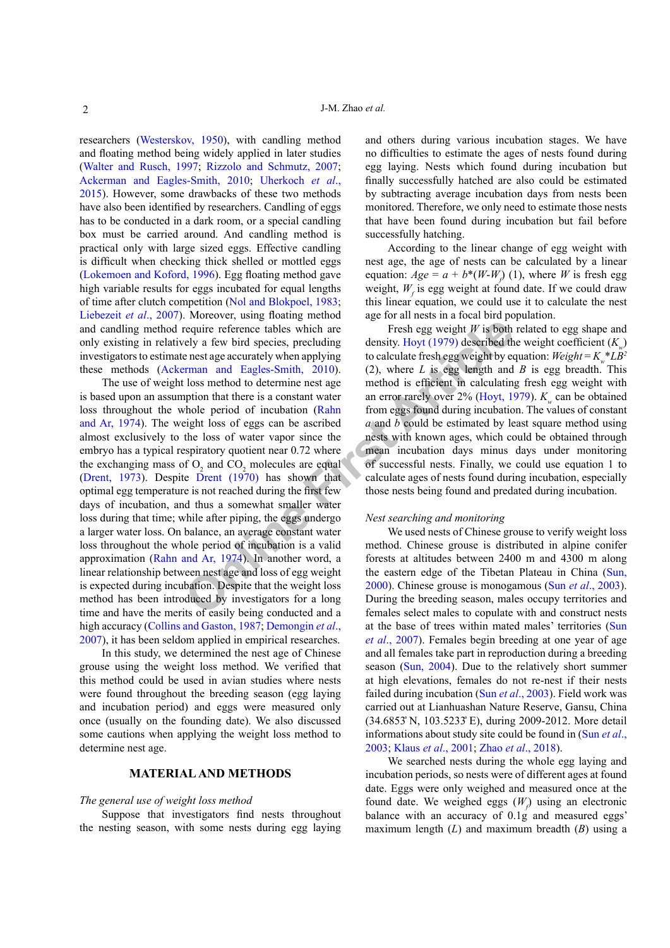researchers ([Westerskov, 1950](#page-5-6)), with candling method and floating method being widely applied in later studies ([Walter and Rusch, 1997](#page-5-7); [Rizzolo and Schmutz, 2007](#page-5-8); [Ackerman and Eagles-Smith, 2010](#page-4-2); [Uherkoch](#page-5-9) *et al*., [2015\)](#page-5-9). However, some drawbacks of these two methods have also been identified by researchers. Candling of eggs has to be conducted in a dark room, or a special candling box must be carried around. And candling method is practical only with large sized eggs. Effective candling is difficult when checking thick shelled or mottled eggs ([Lokemoen and Koford, 1996\)](#page-4-3). Egg floating method gave high variable results for eggs incubated for equal lengths of time after clutch competition ([Nol and Blokpoel, 1983](#page-5-10); [Liebezeit](#page-4-4) *et al*., 2007). Moreover, using floating method and candling method require reference tables which are only existing in relatively a few bird species, precluding investigators to estimate nest age accurately when applying these methods (Ackerman and Eagles-Smith, 2010).

**Example 18** The state of su[c](#page-4-9)cessful contained the enst age weight *W* is both a few bird species, precluding density. Hoyt (1979) described the nest age accurately when applying to calculate fresh egg weight *W* is both The use of weight loss method to determine nest age is based upon an assumption that there is a constant water loss throughout the whole period of incubation (Rahn [and Ar, 1974\)](#page-5-11). The weight loss of eggs can be ascribed almost exclusively to the loss of water vapor since the embryo has a typical respiratory quotient near 0.72 where the exchanging mass of  $O_2$  and  $CO_2$  molecules are equal ([Drent, 1973](#page-4-5)). Despite Drent (1970) has shown that optimal egg temperature is not reached during the first few days of incubation, and thus a somewhat smaller water loss during that time; while after piping, the eggs undergo a larger water loss. On balance, an average constant water loss throughout the whole period of incubation is a valid approximation ([Rahn and Ar, 1974](#page-5-11)). In another word, a linear relationship between nest age and loss of egg weight is expected during incubation. Despite that the weight loss method has been introduced by investigators for a long time and have the merits of easily being conducted and a high accuracy [\(Collins and Gaston, 1987](#page-4-7); [Demongin](#page-4-8) *et al*., [2007](#page-4-8)), it has been seldom applied in empirical researches.

In this study, we determined the nest age of Chinese grouse using the weight loss method. We verified that this method could be used in avian studies where nests were found throughout the breeding season (egg laying and incubation period) and eggs were measured only once (usually on the founding date). We also discussed some cautions when applying the weight loss method to determine nest age.

# **MATERIAL AND METHODS**

#### *The general use of weight loss method*

Suppose that investigators find nests throughout the nesting season, with some nests during egg laying and others during various incubation stages. We have no difficulties to estimate the ages of nests found during egg laying. Nests which found during incubation but finally successfully hatched are also could be estimated by subtracting average incubation days from nests been monitored. Therefore, we only need to estimate those nests that have been found during incubation but fail before successfully hatching.

According to the linear change of egg weight with nest age, the age of nests can be calculated by a linear equation:  $Age = a + b*(W-W<sub>f</sub>)$  (1), where *W* is fresh egg weight,  $W_f$  is egg weight at found date. If we could draw this linear equation, we could use it to calculate the nest age for all nests in a focal bird population.

Fresh egg weight *W* is both related to egg shape and density. Hoyt (1979) described the weight coefficient  $(K<sub>n</sub>)$ to calculate fresh egg weight by equation:  $Weight = K_*^*LB^2$ (2), where *L* is egg length and *B* is egg breadth. This method is efficient in calculating fresh egg weight with an error rarely over 2% (Hoyt, 1979). *K<sub>w</sub>* can be obtained from eggs found during incubation. The values of constant *a* and *b* could be estimated by least square method using nests with known ages, which could be obtained through mean incubation days minus days under monitoring of successful nests. Finally, we could use equation 1 to calculate ages of nests found during incubation, especially those nests being found and predated during incubation.

#### *Nest searching and monitoring*

We used nests of Chinese grouse to verify weight loss method. Chinese grouse is distributed in alpine conifer forests at altitudes between 2400 m and 4300 m along the eastern edge of the Tibetan Plateau in China ([Sun,](#page-5-2) 2000). Chinese grouse is monogamous (Sun *et al*[., 2003](#page-5-3)). During the breeding season, males occupy territories and females select males to copulate with and construct nests at the base of trees within mated males' territories ([Sun](#page-5-12) *et al*[., 2007\)](#page-5-12). Females begin breeding at one year of age and all females take part in reproduction during a breeding season ([Sun, 2004\)](#page-5-13). Due to the relatively short summer at high elevations, females do not re-nest if their nests failed during incubation (Sun *et al*[., 2003](#page-5-3)). Field work was carried out at Lianhuashan Nature Reserve, Gansu, China (34.6853̊ N, 103.5233̊ E), during 2009-2012. More detail informations about study site could be found in ([Sun](#page-5-3) *et al*., [2003](#page-5-3); Klaus *et al*[., 2001](#page-4-10); Zhao *et al*[., 2018](#page-5-14)).

We searched nests during the whole egg laying and incubation periods, so nests were of different ages at found date. Eggs were only weighed and measured once at the found date. We weighed eggs  $(W_f)$  using an electronic balance with an accuracy of 0.1g and measured eggs' maximum length (*L*) and maximum breadth (*B*) using a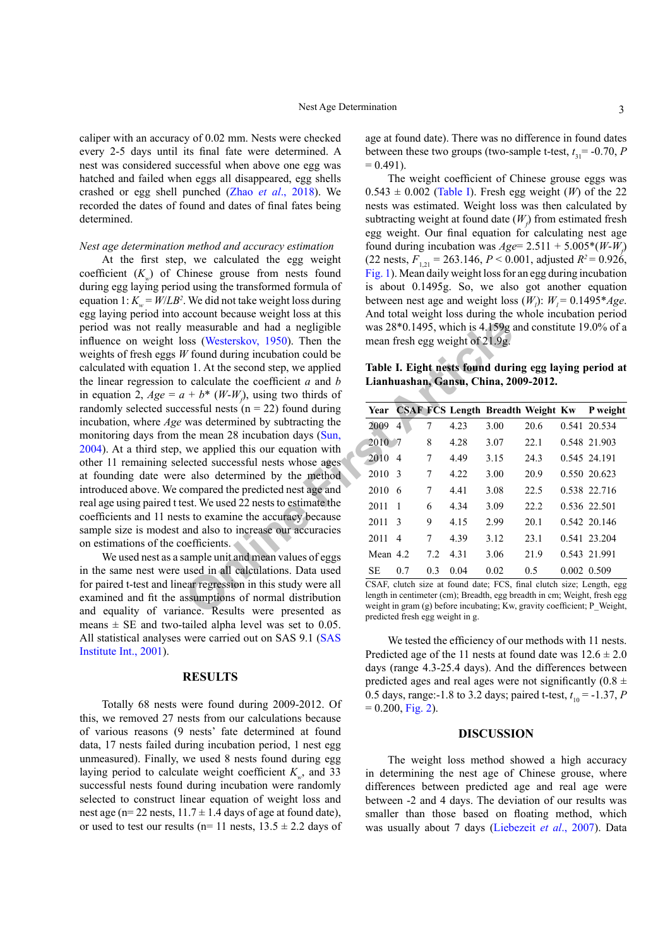caliper with an accuracy of 0.02 mm. Nests were checked every 2-5 days until its final fate were determined. A nest was considered successful when above one egg was hatched and failed when eggs all disappeared, egg shells crashed or egg shell punched (Zhao *et al*[., 2018](#page-5-14)). We recorded the dates of found and dates of final fates being determined.

#### *Nest age determination method and accuracy estimation*

measurable and had a negligible<br>
was  $28*0.1495$ , which is  $4.159g$ <br>
W found during incubation could be<br>  $n1. At the second step, we applied  
\no calculate the coefficient *a* and *b*  
\nn = 1. At the second step, we apply  
\nthe mean 28 incubation days (Sun,  
\nthe mean 28 incubation days (Sun,  
\nthe mean 28 incubation days (Sun,  
\nthe method was determined by subtracting the  
\neaplied this our equation with  
\neaplied this our equation$ At the first step, we calculated the egg weight coefficient  $(K<sub>w</sub>)$  of Chinese grouse from nests found during egg laying period using the transformed formula of equation 1:  $K_w = W/LB^2$ . We did not take weight loss during egg laying period into account because weight loss at this period was not really measurable and had a negligible influence on weight loss (Westerskov, 1950). Then the weights of fresh eggs *W* found during incubation could be calculated with equation 1. At the second step, we applied the linear regression to calculate the coefficient *a* and *b* in equation 2,  $Age = a + b^* (W-W<sub>f</sub>)$ , using two thirds of randomly selected successful nests  $(n = 22)$  found during incubation, where *Age* was determined by subtracting the monitoring days from the mean 28 incubation days (Sun, [2004](#page-5-13)). At a third step, we applied this our equation with other 11 remaining selected successful nests whose ages at founding date were also determined by the method introduced above. We compared the predicted nest age and real age using paired t test. We used 22 nests to estimate the coefficients and 11 nests to examine the accuracy because sample size is modest and also to increase our accuracies on estimations of the coefficients.

We used nest as a sample unit and mean values of eggs in the same nest were used in all calculations. Data used for paired t-test and linear regression in this study were all examined and fit the assumptions of normal distribution and equality of variance. Results were presented as means  $\pm$  SE and two-tailed alpha level was set to 0.05. All statistical analyses were carried out on SAS 9.1 ([SAS](#page-5-15) [Institute Int., 2001](#page-5-15)).

### **RESULTS**

Totally 68 nests were found during 2009-2012. Of this, we removed 27 nests from our calculations because of various reasons (9 nests' fate determined at found data, 17 nests failed during incubation period, 1 nest egg unmeasured). Finally, we used 8 nests found during egg laying period to calculate weight coefficient  $K_{\mu}$ , and 33 successful nests found during incubation were randomly selected to construct linear equation of weight loss and nest age (n= 22 nests,  $11.7 \pm 1.4$  days of age at found date), or used to test our results ( $n=11$  nests,  $13.5 \pm 2.2$  days of

age at found date). There was no difference in found dates between these two groups (two-sample t-test,  $t_{31}$  = -0.70, *P*  $= 0.491$ ).

The weight coefficient of Chinese grouse eggs was  $0.543 \pm 0.002$  ([Table I](#page-2-0)). Fresh egg weight (*W*) of the 22 nests was estimated. Weight loss was then calculated by subtracting weight at found date  $(W_f)$  from estimated fresh egg weight. Our final equation for calculating nest age found during incubation was  $Age = 2.511 + 5.005*(W-W_f)$  $(22 \text{ nests}, F_{1,21} = 263.146, P < 0.001, \text{ adjusted } R^2 = 0.926,$ [Fig. 1](#page-3-0)). Mean daily weight loss for an egg during incubation is about 0.1495g. So, we also got another equation between nest age and weight loss  $(W_i)$ :  $W_i = 0.1495 * Age$ . And total weight loss during the whole incubation period was 28\*0.1495, which is 4.159g and constitute 19.0% of a mean fresh egg weight of 21.9g.

<span id="page-2-0"></span>**Table I. Eight nests found during egg laying period at Lianhuashan, Gansu, China, 2009-2012.** 

|            |              |                |      | Year CSAF FCS Length Breadth Weight Kw |      |             | P weight     |
|------------|--------------|----------------|------|----------------------------------------|------|-------------|--------------|
| 2009       | 4            | 7              | 4.23 | 3.00                                   | 20.6 |             | 0.541 20.534 |
| 2010 7     |              | 8              | 4.28 | 3.07                                   | 22.1 |             | 0.548 21.903 |
| 2010       | 4            | 7              | 4.49 | 3.15                                   | 24.3 |             | 0.545 24.191 |
| 2010       | 3            | 7              | 4.22 | 3.00                                   | 20.9 |             | 0.550 20.623 |
| 2010       | 6            | 7              | 4.41 | 3.08                                   | 22.5 |             | 0.538 22.716 |
| 2011       | $\mathbf{1}$ | 6              | 4.34 | 3.09                                   | 22.2 |             | 0.536 22.501 |
| 2011       | 3            | 9              | 4.15 | 2.99                                   | 20.1 |             | 0.542 20.146 |
| 2011       | 4            | 7              | 4.39 | 3.12                                   | 23.1 |             | 0.541 23.204 |
| Mean $4.2$ |              | 7.2            | 4.31 | 3.06                                   | 21.9 |             | 0.543 21.991 |
| <b>SE</b>  | 0.7          | 0 <sup>3</sup> | 0.04 | 0.02                                   | 0.5  | 0.002 0.509 |              |

CSAF, clutch size at found date; FCS, final clutch size; Length, egg length in centimeter (cm); Breadth, egg breadth in cm; Weight, fresh egg weight in gram (g) before incubating; Kw, gravity coefficient; P\_Weight, predicted fresh egg weight in g.

We tested the efficiency of our methods with 11 nests. Predicted age of the 11 nests at found date was  $12.6 \pm 2.0$ days (range 4.3-25.4 days). And the differences between predicted ages and real ages were not significantly  $(0.8 \pm$ 0.5 days, range:-1.8 to 3.2 days; paired t-test,  $t_{10} = -1.37$ , *P*  $= 0.200$ , [Fig. 2](#page-3-1)).

# **DISCUSSION**

The weight loss method showed a high accuracy in determining the nest age of Chinese grouse, where differences between predicted age and real age were between -2 and 4 days. The deviation of our results was smaller than those based on floating method, which was usually about 7 days ([Liebezeit](#page-4-4) *et al*., 2007). Data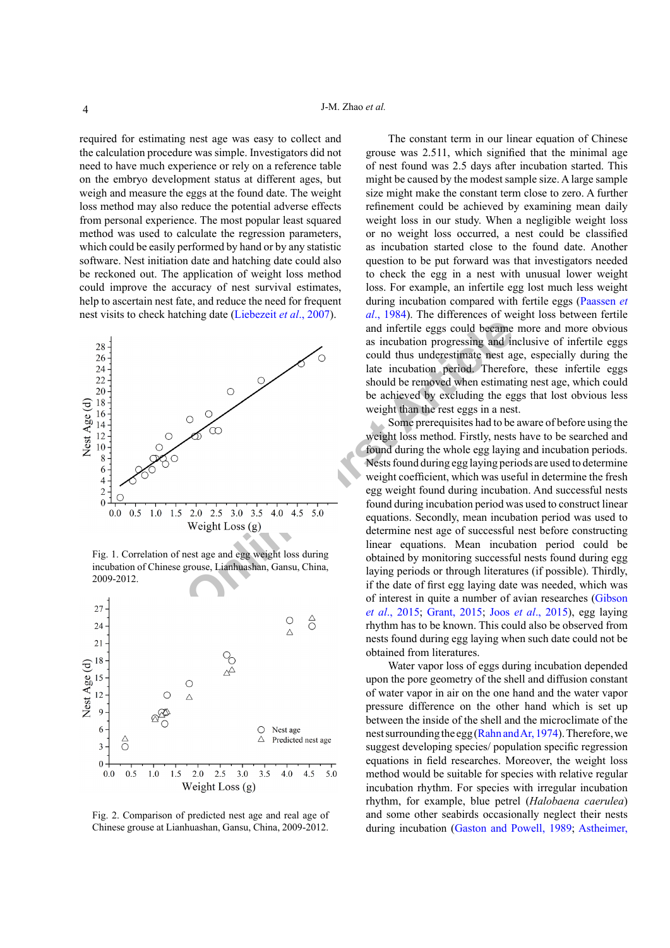required for estimating nest age was easy to collect and the calculation procedure was simple. Investigators did not need to have much experience or rely on a reference table on the embryo development status at different ages, but weigh and measure the eggs at the found date. The weight loss method may also reduce the potential adverse effects from personal experience. The most popular least squared method was used to calculate the regression parameters, which could be easily performed by hand or by any statistic software. Nest initiation date and hatching date could also be reckoned out. The application of weight loss method could improve the accuracy of nest survival estimates, help to ascertain nest fate, and reduce the need for frequent nest visits to check hatching date ([Liebezeit](#page-4-4) *et al*., 2007).



<span id="page-3-0"></span>Fig. 1. Correlation of nest age and egg weight loss during incubation of Chinese grouse, Lianhuashan, Gansu, China, 2009-2012.



<span id="page-3-1"></span>Fig. 2. Comparison of predicted nest age and real age of Chinese grouse at Lianhuashan, Gansu, China, 2009-2012.

The constant term in our linear equation of Chinese grouse was 2.511, which signified that the minimal age of nest found was 2.5 days after incubation started. This might be caused by the modest sample size. A large sample size might make the constant term close to zero. A further refinement could be achieved by examining mean daily weight loss in our study. When a negligible weight loss or no weight loss occurred, a nest could be classified as incubation started close to the found date. Another question to be put forward was that investigators needed to check the egg in a nest with unusual lower weight loss. For example, an infertile egg lost much less weight during incubation compared with fertile eggs ([Paassen](#page-5-16) *et al*[., 1984](#page-5-16)). The differences of weight loss between fertile and infertile eggs could became more and more obvious as incubation progressing and inclusive of infertile eggs could thus underestimate nest age, especially during the late incubation period. Therefore, these infertile eggs should be removed when estimating nest age, which could be achieved by excluding the eggs that lost obvious less weight than the rest eggs in a nest.

Some prerequisites had to be aware of before using the weight loss method. Firstly, nests have to be searched and found during the whole egg laying and incubation periods. Nests found during egg laying periods are used to determine weight coefficient, which was useful in determine the fresh egg weight found during incubation. And successful nests found during incubation period was used to construct linear equations. Secondly, mean incubation period was used to determine nest age of successful nest before constructing linear equations. Mean incubation period could be obtained by monitoring successful nests found during egg laying periods or through literatures (if possible). Thirdly, if the date of first egg laying date was needed, which was of interest in quite a number of avian researches ([Gibson](#page-4-11)  *et al*., 2015; Grant, 2015; Joos *et al*[., 2015\)](#page-4-13), egg laying rhythm has to be known. This could also be observed from nests found during egg laying when such date could not be obtained from literatures.

Water vapor loss of eggs during incubation depended upon the pore geometry of the shell and diffusion constant of water vapor in air on the one hand and the water vapor pressure difference on the other hand which is set up between the inside of the shell and the microclimate of the nest surrounding the egg ([Rahn and Ar, 1974](#page-5-11)). Therefore, we suggest developing species/ population specific regression equations in field researches. Moreover, the weight loss method would be suitable for species with relative regular incubation rhythm. For species with irregular incubation rhythm, for example, blue petrel (*Halobaena caerulea*) and some other seabirds occasionally neglect their nests during incubation ([Gaston and Powell, 1989](#page-4-14); [Astheimer,](#page-4-15)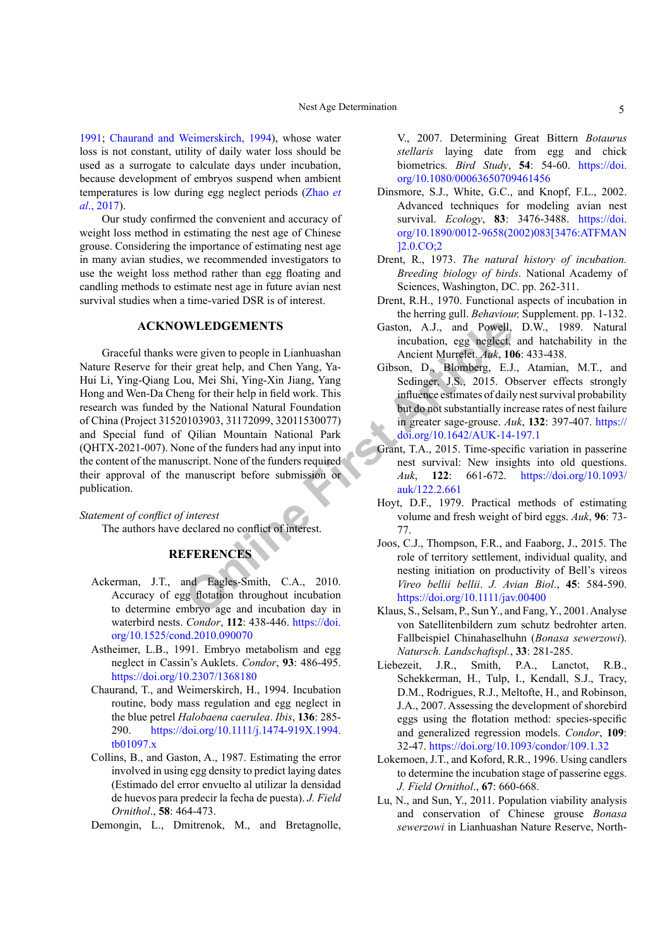[1991](#page-4-15); [Chaurand and Weimerskirch, 1994](#page-4-16)), whose water loss is not constant, utility of daily water loss should be used as a surrogate to calculate days under incubation, because development of embryos suspend when ambient temperatures is low during egg neglect periods ([Zhao](#page-5-17) *et al*[., 2017](#page-5-17)).

Our study confirmed the convenient and accuracy of weight loss method in estimating the nest age of Chinese grouse. Considering the importance of estimating nest age in many avian studies, we recommended investigators to use the weight loss method rather than egg floating and candling methods to estimate nest age in future avian nest survival studies when a time-varied DSR is of interest.

# **ACKNOWLEDGEMENTS**

**WLEDGEMENTS**<br>
Saston, A.J., and Powell,<br>
incubation, egg neglect,<br>
incubation, egg neglect,<br>
incubation, egg neglect,<br>
Ancient Murrelet. Auk, 10<br>
incubation, D<sub>a</sub>, Blomberg, EJ, 2015<br>
2015, 2015, 2015<br>
2018, 2015, 2015, 2 Graceful thanks were given to people in Lianhuashan Nature Reserve for their great help, and Chen Yang, Ya-Hui Li, Ying-Qiang Lou, Mei Shi, Ying-Xin Jiang, Yang Hong and Wen-Da Cheng for their help in field work. This research was funded by the National Natural Foundation of China (Project 31520103903, 31172099, 32011530077) and Special fund of Qilian Mountain National Park (QHTX-2021-007). None of the funders had any input into the content of the manuscript. None of the funders required their approval of the manuscript before submission or publication.

*Statement of conflict of interest* The authors have declared no conflict of interest.

# **REFERENCES**

- <span id="page-4-2"></span>Ackerman, J.T., and Eagles-Smith, C.A., 2010. Accuracy of egg flotation throughout incubation to determine embryo age and incubation day in waterbird nests. *Condor*, **112**: 438-446. [https://doi.](https://doi.org/10.1525/cond.2010.090070) [org/10.1525/cond.2010.090070](https://doi.org/10.1525/cond.2010.090070)
- <span id="page-4-15"></span>Astheimer, L.B., 1991. Embryo metabolism and egg neglect in Cassin's Auklets. *Condor*, **93**: 486-495. <https://doi.org/10.2307/1368180>
- <span id="page-4-16"></span>Chaurand, T., and Weimerskirch, H., 1994. Incubation routine, body mass regulation and egg neglect in the blue petrel *Halobaena caerulea*. *Ibis*, **136**: 285- 290. [https://doi.org/10.1111/j.1474-919X.1994.](https://doi.org/10.1111/j.1474-919X.1994.tb01097.x) [tb01097.x](https://doi.org/10.1111/j.1474-919X.1994.tb01097.x)
- <span id="page-4-7"></span>Collins, B., and Gaston, A., 1987. Estimating the error involved in using egg density to predict laying dates (Estimado del error envuelto al utilizar la densidad de huevos para predecir la fecha de puesta). *J. Field Ornithol*., **58**: 464-473.

<span id="page-4-8"></span>Demongin, L., Dmitrenok, M., and Bretagnolle,

V., 2007. Determining Great Bittern *Botaurus stellaris* laying date from egg and chick biometrics. *Bird Study*, **54**: 54-60. [https://doi.](https://doi.org/10.1080/00063650709461456) [org/10.1080/00063650709461456](https://doi.org/10.1080/00063650709461456)

- <span id="page-4-1"></span>Dinsmore, S.J., White, G.C., and Knopf, F.L., 2002. Advanced techniques for modeling avian nest survival. *Ecology*, **83**: 3476-3488. [https://doi.](https://doi.org/10.1890/0012-9658(2002)083%5b3476:ATFMAN%5d2.0.CO;2) [org/10.1890/0012-9658\(2002\)083\[3476:ATFMAN](https://doi.org/10.1890/0012-9658(2002)083%5b3476:ATFMAN%5d2.0.CO;2) [\]2.0.CO;2](https://doi.org/10.1890/0012-9658(2002)083%5b3476:ATFMAN%5d2.0.CO;2)
- <span id="page-4-5"></span>Drent, R., 1973. *The natural history of incubation. Breeding biology of birds*. National Academy of Sciences, Washington, DC. pp. 262-311.
- <span id="page-4-6"></span>Drent, R.H., 1970. Functional aspects of incubation in the herring gull. *Behaviour,* Supplement. pp. 1-132.
- <span id="page-4-14"></span>Gaston, A.J., and Powell, D.W., 1989. Natural incubation, egg neglect, and hatchability in the Ancient Murrelet. *Auk*, **106**: 433-438.
- <span id="page-4-11"></span>Gibson, D., Blomberg, E.J., Atamian, M.T., and Sedinger, J.S., 2015. Observer effects strongly influence estimates of daily nest survival probability but do not substantially increase rates of nest failure in greater sage-grouse. *Auk*, **132**: 397-407. [https://](https://doi.org/10.1642/AUK-14-197.1) doi.org/10.1642/AUK-14-197.1
- <span id="page-4-12"></span>Grant, T.A., 2015. Time-specific variation in passerine nest survival: New insights into old questions. *Auk*, **122**: 661-672. [https://doi.org/10.1093/](https://doi.org/10.1093/auk/122.2.661) auk/122.2.661
- <span id="page-4-9"></span>Hoyt, D.F., 1979. Practical methods of estimating volume and fresh weight of bird eggs. *Auk*, **96**: 73- 77.
- <span id="page-4-13"></span>Joos, C.J., Thompson, F.R., and Faaborg, J., 2015. The role of territory settlement, individual quality, and nesting initiation on productivity of Bell's vireos *Vireo bellii bellii*. *J. Avian Biol*., **45**: 584-590. https://doi.org/10.1111/jav.00400
- <span id="page-4-10"></span>Klaus, S., Selsam, P., Sun Y., and Fang, Y., 2001. Analyse von Satellitenbildern zum schutz bedrohter arten. Fallbeispiel Chinahaselhuhn (*Bonasa sewerzowi*). *Natursch. Landschaftspl.*, **33**: 281-285.
- <span id="page-4-4"></span>Liebezeit, J.R., Smith, P.A., Lanctot, R.B., Schekkerman, H., Tulp, I., Kendall, S.J., Tracy, D.M., Rodrigues, R.J., Meltofte, H., and Robinson, J.A., 2007. Assessing the development of shorebird eggs using the flotation method: species-specific and generalized regression models. *Condor*, **109**: 32-47.<https://doi.org/10.1093/condor/109.1.32>
- <span id="page-4-3"></span>Lokemoen, J.T., and Koford, R.R., 1996. Using candlers to determine the incubation stage of passerine eggs. *J. Field Ornithol*., **67**: 660-668.
- <span id="page-4-0"></span>Lu, N., and Sun, Y., 2011. Population viability analysis and conservation of Chinese grouse *Bonasa sewerzowi* in Lianhuashan Nature Reserve, North-